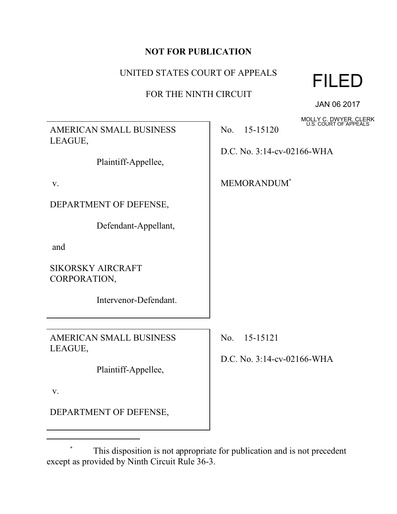### **NOT FOR PUBLICATION**

# UNITED STATES COURT OF APPEALS

## FOR THE NINTH CIRCUIT



JAN 06 2017

MOLLY C. DWYER, CLERK U.S. COURT OF APPEALS

AMERICAN SMALL BUSINESS LEAGUE,

Plaintiff-Appellee,

v.

DEPARTMENT OF DEFENSE,

Defendant-Appellant,

and

SIKORSKY AIRCRAFT CORPORATION,

Intervenor-Defendant.

AMERICAN SMALL BUSINESS LEAGUE,

Plaintiff-Appellee,

v.

DEPARTMENT OF DEFENSE,

No. 15-15120

D.C. No. 3:14-cv-02166-WHA

MEMORANDUM\*

No. 15-15121

D.C. No. 3:14-cv-02166-WHA

This disposition is not appropriate for publication and is not precedent except as provided by Ninth Circuit Rule 36-3.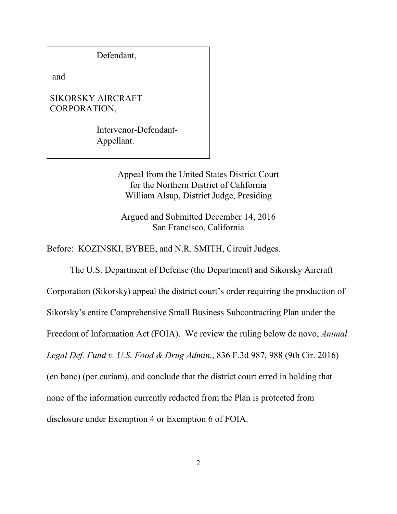Defendant,

and

#### SIKORSKY AIRCRAFT CORPORATION,

Intervenor-Defendant-Appellant.

> Appeal from the United States District Court for the Northern District of California William Alsup, District Judge, Presiding

Argued and Submitted December 14, 2016 San Francisco, California

Before: KOZINSKI, BYBEE, and N.R. SMITH, Circuit Judges.

The U.S. Department of Defense (the Department) and Sikorsky Aircraft Corporation (Sikorsky) appeal the district court's order requiring the production of Sikorsky's entire Comprehensive Small Business Subcontracting Plan under the Freedom of Information Act (FOIA). We review the ruling below de novo, *Animal Legal Def. Fund v. U.S. Food & Drug Admin.*, 836 F.3d 987, 988 (9th Cir. 2016) (en banc) (per curiam), and conclude that the district court erred in holding that none of the information currently redacted from the Plan is protected from disclosure under Exemption 4 or Exemption 6 of FOIA.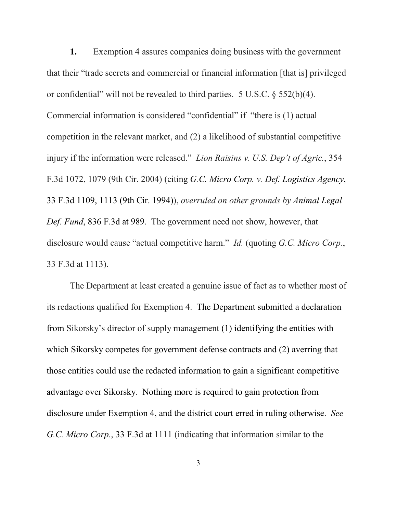**1.** Exemption 4 assures companies doing business with the government that their "trade secrets and commercial or financial information [that is] privileged or confidential" will not be revealed to third parties. 5 U.S.C. § 552(b)(4). Commercial information is considered "confidential" if "there is (1) actual competition in the relevant market, and (2) a likelihood of substantial competitive injury if the information were released." *Lion Raisins v. U.S. Dep't of Agric.*, 354 F.3d 1072, 1079 (9th Cir. 2004) (citing *G.C. Micro Corp. v. Def. Logistics Agency*, 33 F.3d 1109, 1113 (9th Cir. 1994)), *overruled on other grounds by Animal Legal Def. Fund*, 836 F.3d at 989. The government need not show, however, that disclosure would cause "actual competitive harm." *Id.* (quoting *G.C. Micro Corp.*, 33 F.3d at 1113).

The Department at least created a genuine issue of fact as to whether most of its redactions qualified for Exemption 4. The Department submitted a declaration from Sikorsky's director of supply management (1) identifying the entities with which Sikorsky competes for government defense contracts and (2) averring that those entities could use the redacted information to gain a significant competitive advantage over Sikorsky. Nothing more is required to gain protection from disclosure under Exemption 4, and the district court erred in ruling otherwise. *See G.C. Micro Corp.*, 33 F.3d at 1111 (indicating that information similar to the